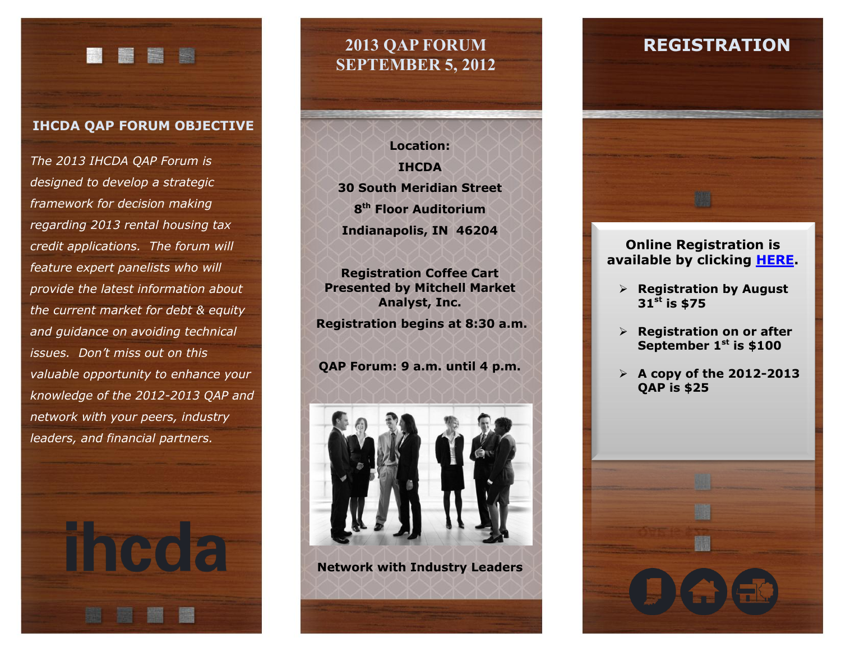## **IHCDA QAP FORUM OBJECTIVE**

**【 要】 图** 

图

*The 2013 IHCDA QAP Forum is designed to develop a strategic framework for decision making regarding 2013 rental housing tax credit applications. The forum will feature expert panelists who will provide the latest information about the current market for debt & equity and guidance on avoiding technical issues. Don't miss out on this valuable opportunity to enhance your knowledge of the 2012-2013 QAP and network with your peers, industry leaders, and financial partners.*

TICCE



**Location: IHCDA 30 South Meridian Street 8 th Floor Auditorium Indianapolis, IN 46204**

**Registration Coffee Cart Presented by Mitchell Market Analyst, Inc. Registration begins at 8:30 a.m.**

**QAP Forum: 9 a.m. until 4 p.m.**



**Network with Industry Leaders**



## **Online Registration is available by clicking [HERE.](http://www.cvent.com/events/2013-indiana-qap-forum/event-summary-1cfc2cd3ca4f47b884c2022bfcc82132.aspx)**

- **Registration by August 31st is \$75**
- **Registration on or after September 1st is \$100**
- **A copy of the 2012-2013 QAP is \$25**